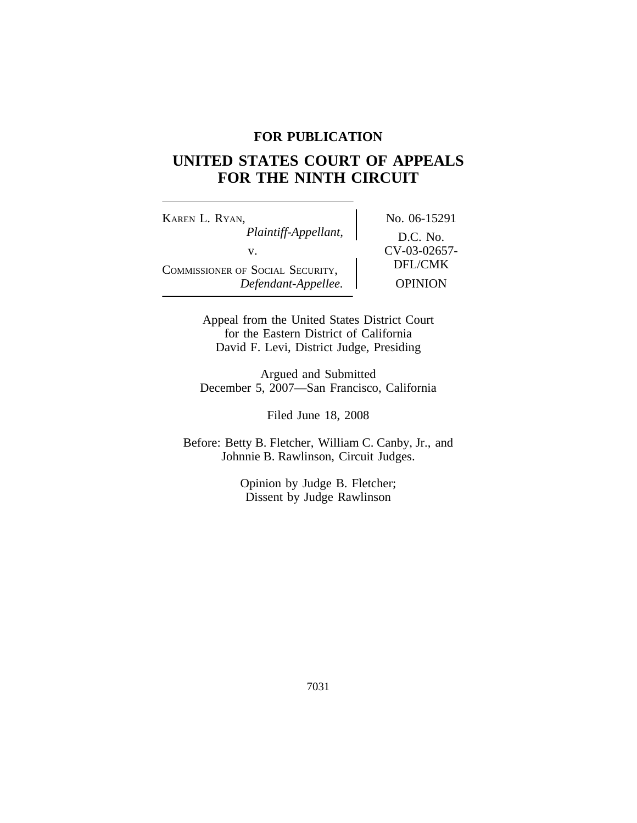## **FOR PUBLICATION**

# **UNITED STATES COURT OF APPEALS FOR THE NINTH CIRCUIT**

KAREN L. RYAN, No. 06-15291 *Plaintiff-Appellant,* D.C. No. v.  $CV-03-02657-$ COMMISSIONER OF SOCIAL SECURITY, DEFL/CMK<br>Defendant-Appellee. OPINION  $Define$ *Refendant-Appellee.* 

Appeal from the United States District Court for the Eastern District of California David F. Levi, District Judge, Presiding

Argued and Submitted December 5, 2007—San Francisco, California

Filed June 18, 2008

Before: Betty B. Fletcher, William C. Canby, Jr., and Johnnie B. Rawlinson, Circuit Judges.

> Opinion by Judge B. Fletcher; Dissent by Judge Rawlinson

> > 7031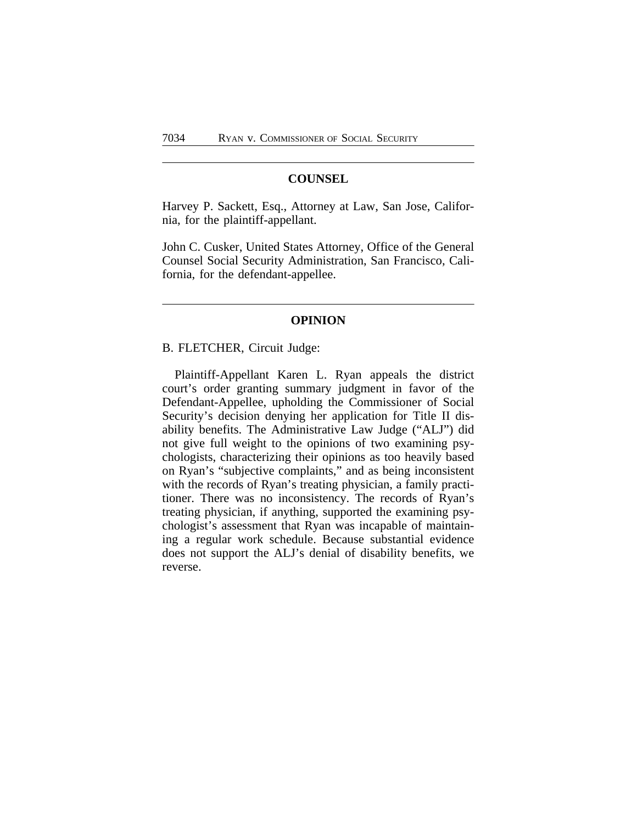### **COUNSEL**

Harvey P. Sackett, Esq., Attorney at Law, San Jose, California, for the plaintiff-appellant.

John C. Cusker, United States Attorney, Office of the General Counsel Social Security Administration, San Francisco, California, for the defendant-appellee.

## **OPINION**

#### B. FLETCHER, Circuit Judge:

Plaintiff-Appellant Karen L. Ryan appeals the district court's order granting summary judgment in favor of the Defendant-Appellee, upholding the Commissioner of Social Security's decision denying her application for Title II disability benefits. The Administrative Law Judge ("ALJ") did not give full weight to the opinions of two examining psychologists, characterizing their opinions as too heavily based on Ryan's "subjective complaints," and as being inconsistent with the records of Ryan's treating physician, a family practitioner. There was no inconsistency. The records of Ryan's treating physician, if anything, supported the examining psychologist's assessment that Ryan was incapable of maintaining a regular work schedule. Because substantial evidence does not support the ALJ's denial of disability benefits, we reverse.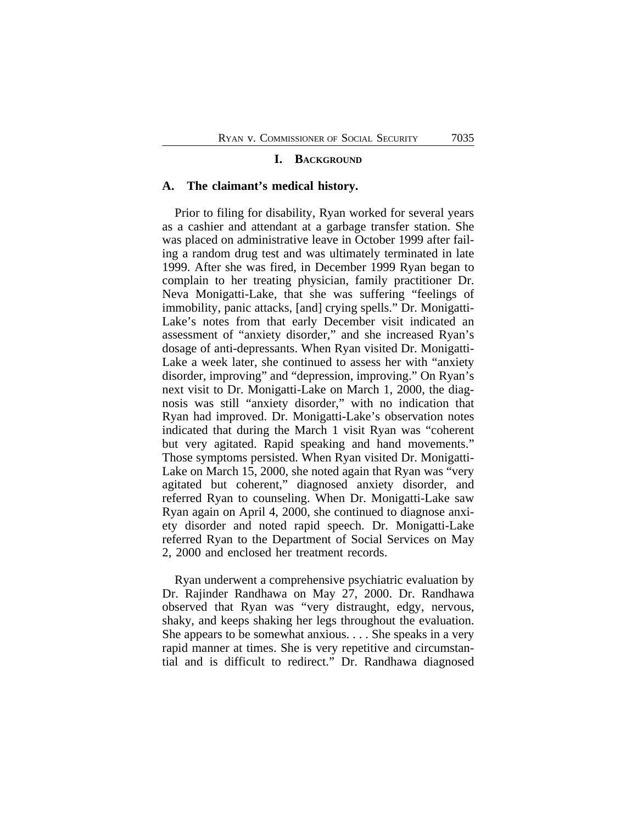#### **I. BACKGROUND**

#### **A. The claimant's medical history.**

Prior to filing for disability, Ryan worked for several years as a cashier and attendant at a garbage transfer station. She was placed on administrative leave in October 1999 after failing a random drug test and was ultimately terminated in late 1999. After she was fired, in December 1999 Ryan began to complain to her treating physician, family practitioner Dr. Neva Monigatti-Lake, that she was suffering "feelings of immobility, panic attacks, [and] crying spells." Dr. Monigatti-Lake's notes from that early December visit indicated an assessment of "anxiety disorder," and she increased Ryan's dosage of anti-depressants. When Ryan visited Dr. Monigatti-Lake a week later, she continued to assess her with "anxiety disorder, improving" and "depression, improving." On Ryan's next visit to Dr. Monigatti-Lake on March 1, 2000, the diagnosis was still "anxiety disorder," with no indication that Ryan had improved. Dr. Monigatti-Lake's observation notes indicated that during the March 1 visit Ryan was "coherent but very agitated. Rapid speaking and hand movements." Those symptoms persisted. When Ryan visited Dr. Monigatti-Lake on March 15, 2000, she noted again that Ryan was "very agitated but coherent," diagnosed anxiety disorder, and referred Ryan to counseling. When Dr. Monigatti-Lake saw Ryan again on April 4, 2000, she continued to diagnose anxiety disorder and noted rapid speech. Dr. Monigatti-Lake referred Ryan to the Department of Social Services on May 2, 2000 and enclosed her treatment records.

Ryan underwent a comprehensive psychiatric evaluation by Dr. Rajinder Randhawa on May 27, 2000. Dr. Randhawa observed that Ryan was "very distraught, edgy, nervous, shaky, and keeps shaking her legs throughout the evaluation. She appears to be somewhat anxious. . . . She speaks in a very rapid manner at times. She is very repetitive and circumstantial and is difficult to redirect." Dr. Randhawa diagnosed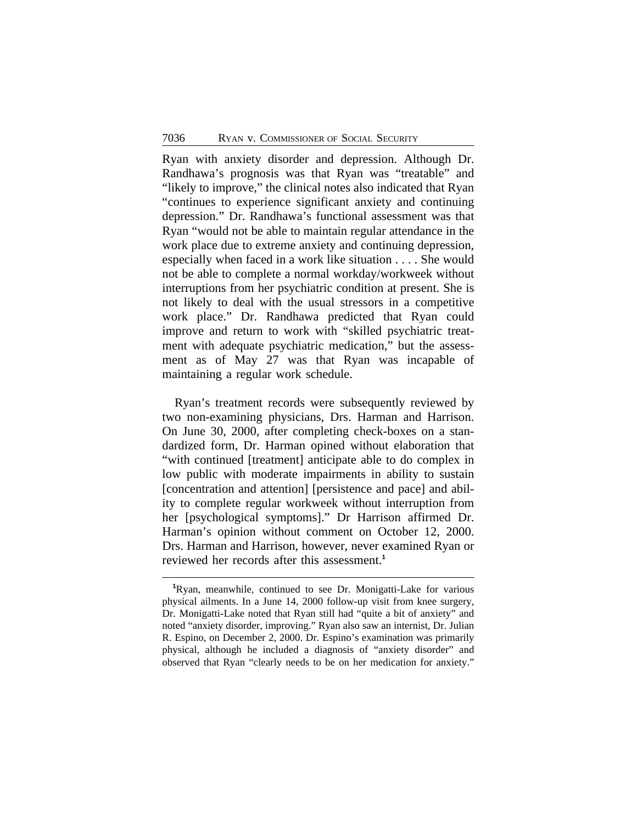Ryan with anxiety disorder and depression. Although Dr. Randhawa's prognosis was that Ryan was "treatable" and "likely to improve," the clinical notes also indicated that Ryan "continues to experience significant anxiety and continuing depression." Dr. Randhawa's functional assessment was that Ryan "would not be able to maintain regular attendance in the work place due to extreme anxiety and continuing depression, especially when faced in a work like situation . . . . She would not be able to complete a normal workday/workweek without interruptions from her psychiatric condition at present. She is not likely to deal with the usual stressors in a competitive work place." Dr. Randhawa predicted that Ryan could improve and return to work with "skilled psychiatric treatment with adequate psychiatric medication," but the assessment as of May 27 was that Ryan was incapable of maintaining a regular work schedule.

Ryan's treatment records were subsequently reviewed by two non-examining physicians, Drs. Harman and Harrison. On June 30, 2000, after completing check-boxes on a standardized form, Dr. Harman opined without elaboration that "with continued [treatment] anticipate able to do complex in low public with moderate impairments in ability to sustain [concentration and attention] [persistence and pace] and ability to complete regular workweek without interruption from her [psychological symptoms]." Dr Harrison affirmed Dr. Harman's opinion without comment on October 12, 2000. Drs. Harman and Harrison, however, never examined Ryan or reviewed her records after this assessment.**<sup>1</sup>**

**<sup>1</sup>**Ryan, meanwhile, continued to see Dr. Monigatti-Lake for various physical ailments. In a June 14, 2000 follow-up visit from knee surgery, Dr. Monigatti-Lake noted that Ryan still had "quite a bit of anxiety" and noted "anxiety disorder, improving." Ryan also saw an internist, Dr. Julian R. Espino, on December 2, 2000. Dr. Espino's examination was primarily physical, although he included a diagnosis of "anxiety disorder" and observed that Ryan "clearly needs to be on her medication for anxiety."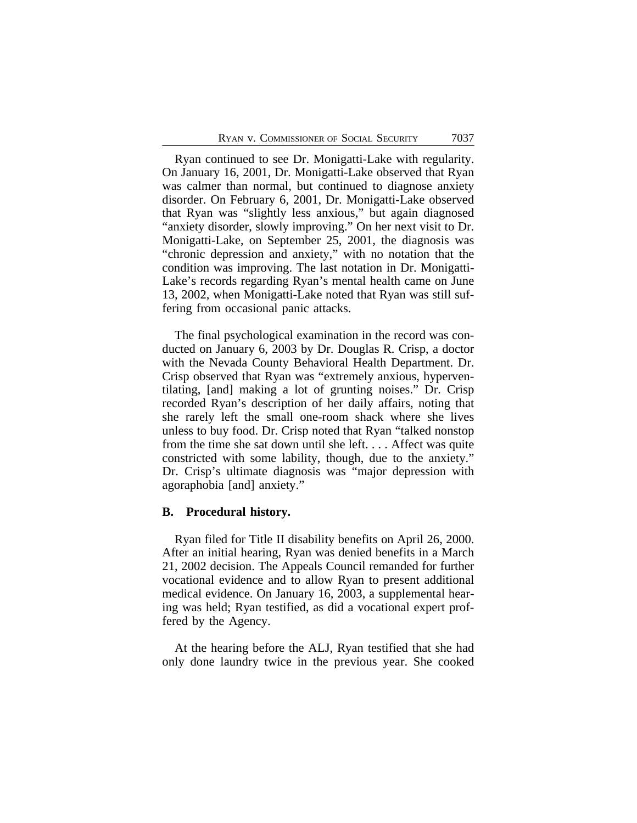Ryan continued to see Dr. Monigatti-Lake with regularity. On January 16, 2001, Dr. Monigatti-Lake observed that Ryan was calmer than normal, but continued to diagnose anxiety disorder. On February 6, 2001, Dr. Monigatti-Lake observed that Ryan was "slightly less anxious," but again diagnosed "anxiety disorder, slowly improving." On her next visit to Dr. Monigatti-Lake, on September 25, 2001, the diagnosis was "chronic depression and anxiety," with no notation that the condition was improving. The last notation in Dr. Monigatti-Lake's records regarding Ryan's mental health came on June 13, 2002, when Monigatti-Lake noted that Ryan was still suffering from occasional panic attacks.

The final psychological examination in the record was conducted on January 6, 2003 by Dr. Douglas R. Crisp, a doctor with the Nevada County Behavioral Health Department. Dr. Crisp observed that Ryan was "extremely anxious, hyperventilating, [and] making a lot of grunting noises." Dr. Crisp recorded Ryan's description of her daily affairs, noting that she rarely left the small one-room shack where she lives unless to buy food. Dr. Crisp noted that Ryan "talked nonstop from the time she sat down until she left. . . . Affect was quite constricted with some lability, though, due to the anxiety." Dr. Crisp's ultimate diagnosis was "major depression with agoraphobia [and] anxiety."

#### **B. Procedural history.**

Ryan filed for Title II disability benefits on April 26, 2000. After an initial hearing, Ryan was denied benefits in a March 21, 2002 decision. The Appeals Council remanded for further vocational evidence and to allow Ryan to present additional medical evidence. On January 16, 2003, a supplemental hearing was held; Ryan testified, as did a vocational expert proffered by the Agency.

At the hearing before the ALJ, Ryan testified that she had only done laundry twice in the previous year. She cooked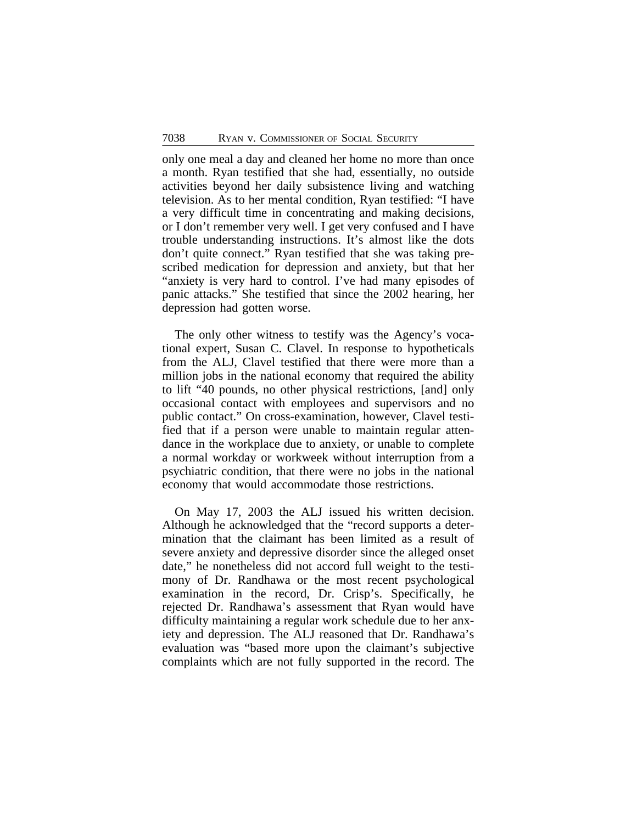only one meal a day and cleaned her home no more than once a month. Ryan testified that she had, essentially, no outside activities beyond her daily subsistence living and watching television. As to her mental condition, Ryan testified: "I have a very difficult time in concentrating and making decisions, or I don't remember very well. I get very confused and I have trouble understanding instructions. It's almost like the dots don't quite connect." Ryan testified that she was taking prescribed medication for depression and anxiety, but that her "anxiety is very hard to control. I've had many episodes of panic attacks." She testified that since the 2002 hearing, her depression had gotten worse.

The only other witness to testify was the Agency's vocational expert, Susan C. Clavel. In response to hypotheticals from the ALJ, Clavel testified that there were more than a million jobs in the national economy that required the ability to lift "40 pounds, no other physical restrictions, [and] only occasional contact with employees and supervisors and no public contact." On cross-examination, however, Clavel testified that if a person were unable to maintain regular attendance in the workplace due to anxiety, or unable to complete a normal workday or workweek without interruption from a psychiatric condition, that there were no jobs in the national economy that would accommodate those restrictions.

On May 17, 2003 the ALJ issued his written decision. Although he acknowledged that the "record supports a determination that the claimant has been limited as a result of severe anxiety and depressive disorder since the alleged onset date," he nonetheless did not accord full weight to the testimony of Dr. Randhawa or the most recent psychological examination in the record, Dr. Crisp's. Specifically, he rejected Dr. Randhawa's assessment that Ryan would have difficulty maintaining a regular work schedule due to her anxiety and depression. The ALJ reasoned that Dr. Randhawa's evaluation was "based more upon the claimant's subjective complaints which are not fully supported in the record. The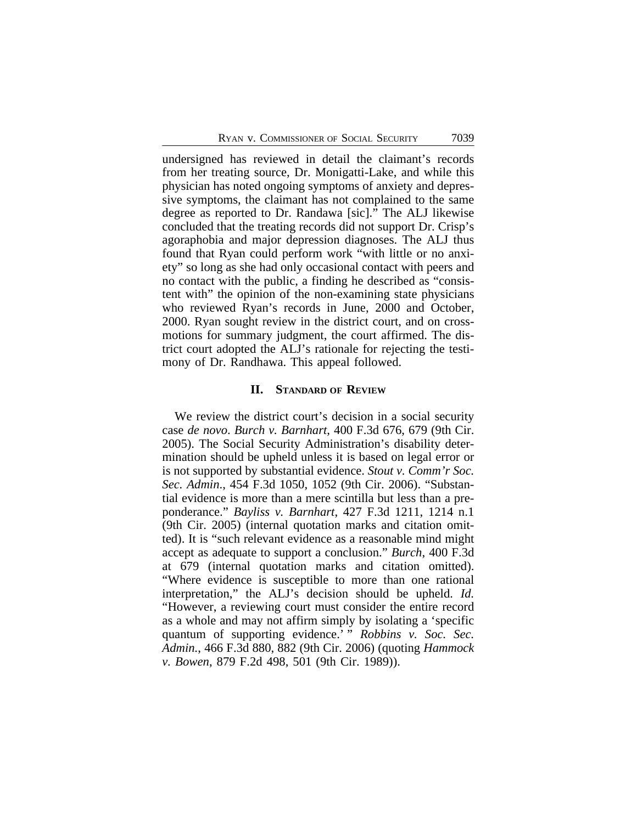undersigned has reviewed in detail the claimant's records from her treating source, Dr. Monigatti-Lake, and while this physician has noted ongoing symptoms of anxiety and depressive symptoms, the claimant has not complained to the same degree as reported to Dr. Randawa [sic]." The ALJ likewise concluded that the treating records did not support Dr. Crisp's agoraphobia and major depression diagnoses. The ALJ thus found that Ryan could perform work "with little or no anxiety" so long as she had only occasional contact with peers and no contact with the public, a finding he described as "consistent with" the opinion of the non-examining state physicians who reviewed Ryan's records in June, 2000 and October, 2000. Ryan sought review in the district court, and on crossmotions for summary judgment, the court affirmed. The district court adopted the ALJ's rationale for rejecting the testimony of Dr. Randhawa. This appeal followed.

#### **II. STANDARD OF REVIEW**

We review the district court's decision in a social security case *de novo*. *Burch v. Barnhart*, 400 F.3d 676, 679 (9th Cir. 2005). The Social Security Administration's disability determination should be upheld unless it is based on legal error or is not supported by substantial evidence. *Stout v. Comm'r Soc. Sec. Admin*., 454 F.3d 1050, 1052 (9th Cir. 2006). "Substantial evidence is more than a mere scintilla but less than a preponderance." *Bayliss v. Barnhart*, 427 F.3d 1211, 1214 n.1 (9th Cir. 2005) (internal quotation marks and citation omitted). It is "such relevant evidence as a reasonable mind might accept as adequate to support a conclusion." *Burch*, 400 F.3d at 679 (internal quotation marks and citation omitted). "Where evidence is susceptible to more than one rational interpretation," the ALJ's decision should be upheld. *Id.* "However, a reviewing court must consider the entire record as a whole and may not affirm simply by isolating a 'specific quantum of supporting evidence.<sup>5</sup> " *Robbins v. Soc. Sec. Admin.*, 466 F.3d 880, 882 (9th Cir. 2006) (quoting *Hammock v. Bowen*, 879 F.2d 498, 501 (9th Cir. 1989)).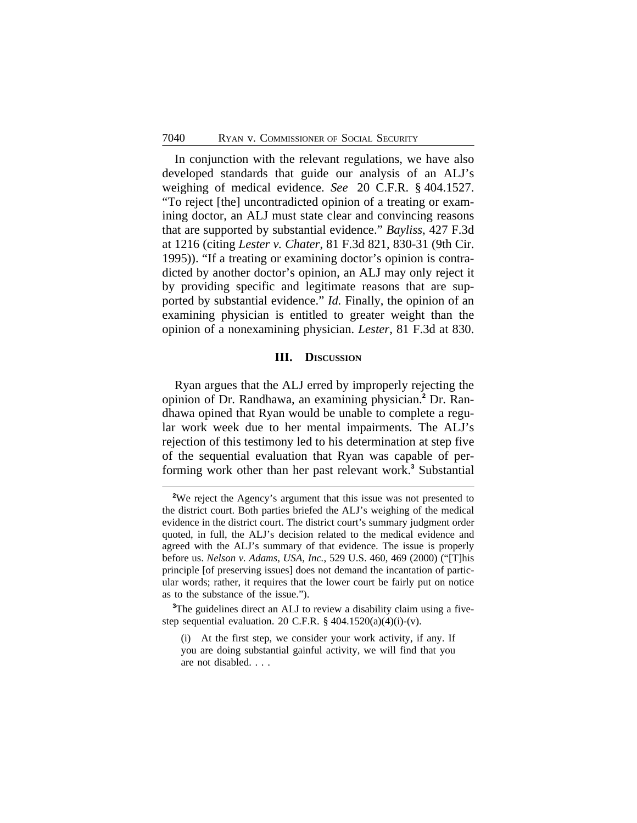In conjunction with the relevant regulations, we have also developed standards that guide our analysis of an ALJ's weighing of medical evidence. *See* 20 C.F.R. § 404.1527. "To reject [the] uncontradicted opinion of a treating or examining doctor, an ALJ must state clear and convincing reasons that are supported by substantial evidence." *Bayliss*, 427 F.3d at 1216 (citing *Lester v. Chater*, 81 F.3d 821, 830-31 (9th Cir. 1995)). "If a treating or examining doctor's opinion is contradicted by another doctor's opinion, an ALJ may only reject it by providing specific and legitimate reasons that are supported by substantial evidence." *Id.* Finally, the opinion of an examining physician is entitled to greater weight than the opinion of a nonexamining physician. *Lester*, 81 F.3d at 830.

#### **III. DISCUSSION**

Ryan argues that the ALJ erred by improperly rejecting the opinion of Dr. Randhawa, an examining physician.**<sup>2</sup>** Dr. Randhawa opined that Ryan would be unable to complete a regular work week due to her mental impairments. The ALJ's rejection of this testimony led to his determination at step five of the sequential evaluation that Ryan was capable of performing work other than her past relevant work.**<sup>3</sup>** Substantial

<sup>3</sup>The guidelines direct an ALJ to review a disability claim using a fivestep sequential evaluation. 20 C.F.R.  $\S$  404.1520(a)(4)(i)-(v).

<sup>&</sup>lt;sup>2</sup>We reject the Agency's argument that this issue was not presented to the district court. Both parties briefed the ALJ's weighing of the medical evidence in the district court. The district court's summary judgment order quoted, in full, the ALJ's decision related to the medical evidence and agreed with the ALJ's summary of that evidence. The issue is properly before us. *Nelson v. Adams, USA, Inc.*, 529 U.S. 460, 469 (2000) ("[T]his principle [of preserving issues] does not demand the incantation of particular words; rather, it requires that the lower court be fairly put on notice as to the substance of the issue.").

<sup>(</sup>i) At the first step, we consider your work activity, if any. If you are doing substantial gainful activity, we will find that you are not disabled. . . .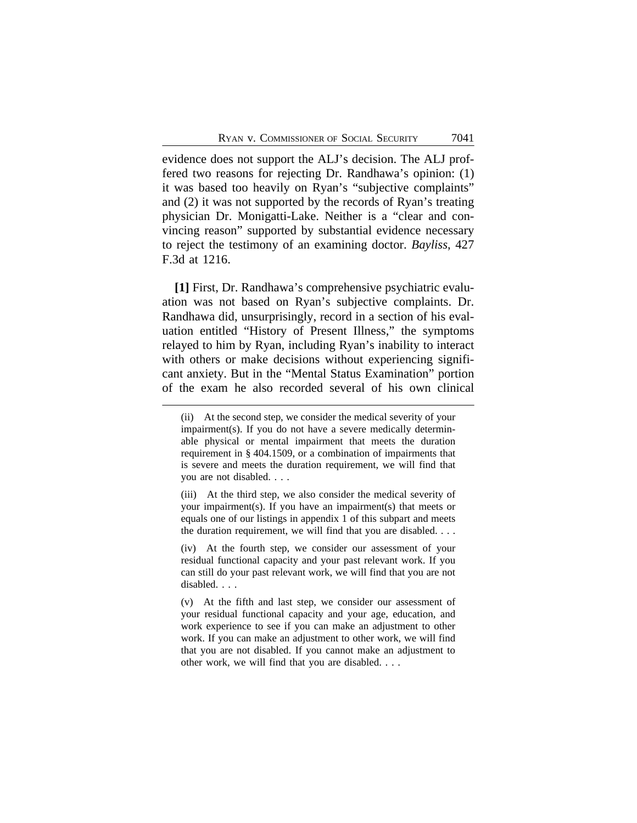evidence does not support the ALJ's decision. The ALJ proffered two reasons for rejecting Dr. Randhawa's opinion: (1) it was based too heavily on Ryan's "subjective complaints" and (2) it was not supported by the records of Ryan's treating physician Dr. Monigatti-Lake. Neither is a "clear and convincing reason" supported by substantial evidence necessary to reject the testimony of an examining doctor. *Bayliss*, 427 F.3d at 1216.

**[1]** First, Dr. Randhawa's comprehensive psychiatric evaluation was not based on Ryan's subjective complaints. Dr. Randhawa did, unsurprisingly, record in a section of his evaluation entitled "History of Present Illness," the symptoms relayed to him by Ryan, including Ryan's inability to interact with others or make decisions without experiencing significant anxiety. But in the "Mental Status Examination" portion of the exam he also recorded several of his own clinical

(iv) At the fourth step, we consider our assessment of your residual functional capacity and your past relevant work. If you can still do your past relevant work, we will find that you are not disabled. . . .

(v) At the fifth and last step, we consider our assessment of your residual functional capacity and your age, education, and work experience to see if you can make an adjustment to other work. If you can make an adjustment to other work, we will find that you are not disabled. If you cannot make an adjustment to other work, we will find that you are disabled. . . .

<sup>(</sup>ii) At the second step, we consider the medical severity of your impairment(s). If you do not have a severe medically determinable physical or mental impairment that meets the duration requirement in § 404.1509, or a combination of impairments that is severe and meets the duration requirement, we will find that you are not disabled. . . .

<sup>(</sup>iii) At the third step, we also consider the medical severity of your impairment(s). If you have an impairment(s) that meets or equals one of our listings in appendix 1 of this subpart and meets the duration requirement, we will find that you are disabled. . . .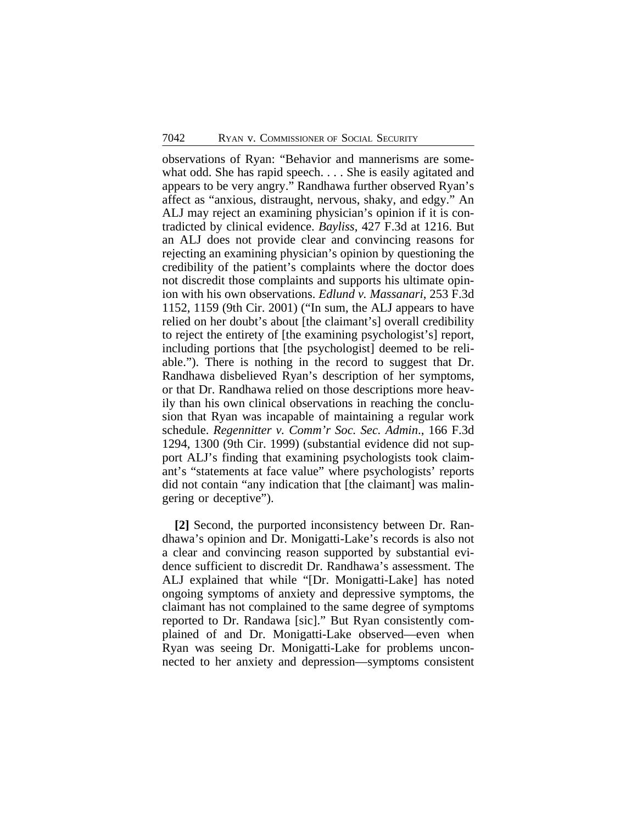observations of Ryan: "Behavior and mannerisms are somewhat odd. She has rapid speech. . . . She is easily agitated and appears to be very angry." Randhawa further observed Ryan's affect as "anxious, distraught, nervous, shaky, and edgy." An ALJ may reject an examining physician's opinion if it is contradicted by clinical evidence. *Bayliss*, 427 F.3d at 1216. But an ALJ does not provide clear and convincing reasons for rejecting an examining physician's opinion by questioning the credibility of the patient's complaints where the doctor does not discredit those complaints and supports his ultimate opinion with his own observations. *Edlund v. Massanari*, 253 F.3d 1152, 1159 (9th Cir. 2001) ("In sum, the ALJ appears to have relied on her doubt's about [the claimant's] overall credibility to reject the entirety of [the examining psychologist's] report, including portions that [the psychologist] deemed to be reliable."). There is nothing in the record to suggest that Dr. Randhawa disbelieved Ryan's description of her symptoms, or that Dr. Randhawa relied on those descriptions more heavily than his own clinical observations in reaching the conclusion that Ryan was incapable of maintaining a regular work schedule. *Regennitter v. Comm'r Soc. Sec. Admin*., 166 F.3d 1294, 1300 (9th Cir. 1999) (substantial evidence did not support ALJ's finding that examining psychologists took claimant's "statements at face value" where psychologists' reports did not contain "any indication that [the claimant] was malingering or deceptive").

**[2]** Second, the purported inconsistency between Dr. Randhawa's opinion and Dr. Monigatti-Lake's records is also not a clear and convincing reason supported by substantial evidence sufficient to discredit Dr. Randhawa's assessment. The ALJ explained that while "[Dr. Monigatti-Lake] has noted ongoing symptoms of anxiety and depressive symptoms, the claimant has not complained to the same degree of symptoms reported to Dr. Randawa [sic]." But Ryan consistently complained of and Dr. Monigatti-Lake observed—even when Ryan was seeing Dr. Monigatti-Lake for problems unconnected to her anxiety and depression—symptoms consistent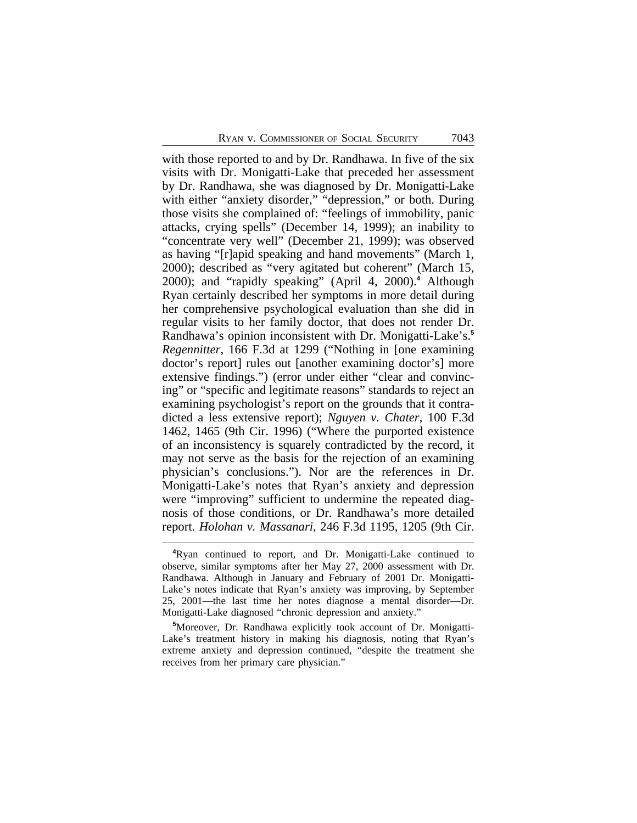with those reported to and by Dr. Randhawa. In five of the six visits with Dr. Monigatti-Lake that preceded her assessment by Dr. Randhawa, she was diagnosed by Dr. Monigatti-Lake with either "anxiety disorder," "depression," or both. During those visits she complained of: "feelings of immobility, panic attacks, crying spells" (December 14, 1999); an inability to "concentrate very well" (December 21, 1999); was observed as having "[r]apid speaking and hand movements" (March 1, 2000); described as "very agitated but coherent" (March 15, 2000); and "rapidly speaking" (April 4, 2000).**<sup>4</sup>** Although Ryan certainly described her symptoms in more detail during her comprehensive psychological evaluation than she did in regular visits to her family doctor, that does not render Dr. Randhawa's opinion inconsistent with Dr. Monigatti-Lake's.**<sup>5</sup>** *Regennitter*, 166 F.3d at 1299 ("Nothing in [one examining doctor's report] rules out [another examining doctor's] more extensive findings.") (error under either "clear and convincing" or "specific and legitimate reasons" standards to reject an examining psychologist's report on the grounds that it contradicted a less extensive report); *Nguyen v. Chater*, 100 F.3d 1462, 1465 (9th Cir. 1996) ("Where the purported existence of an inconsistency is squarely contradicted by the record, it may not serve as the basis for the rejection of an examining physician's conclusions."). Nor are the references in Dr. Monigatti-Lake's notes that Ryan's anxiety and depression were "improving" sufficient to undermine the repeated diagnosis of those conditions, or Dr. Randhawa's more detailed report. *Holohan v. Massanari*, 246 F.3d 1195, 1205 (9th Cir.

**<sup>4</sup>**Ryan continued to report, and Dr. Monigatti-Lake continued to observe, similar symptoms after her May 27, 2000 assessment with Dr. Randhawa. Although in January and February of 2001 Dr. Monigatti-Lake's notes indicate that Ryan's anxiety was improving, by September 25, 2001—the last time her notes diagnose a mental disorder—Dr. Monigatti-Lake diagnosed "chronic depression and anxiety."

**<sup>5</sup>**Moreover, Dr. Randhawa explicitly took account of Dr. Monigatti-Lake's treatment history in making his diagnosis, noting that Ryan's extreme anxiety and depression continued, "despite the treatment she receives from her primary care physician."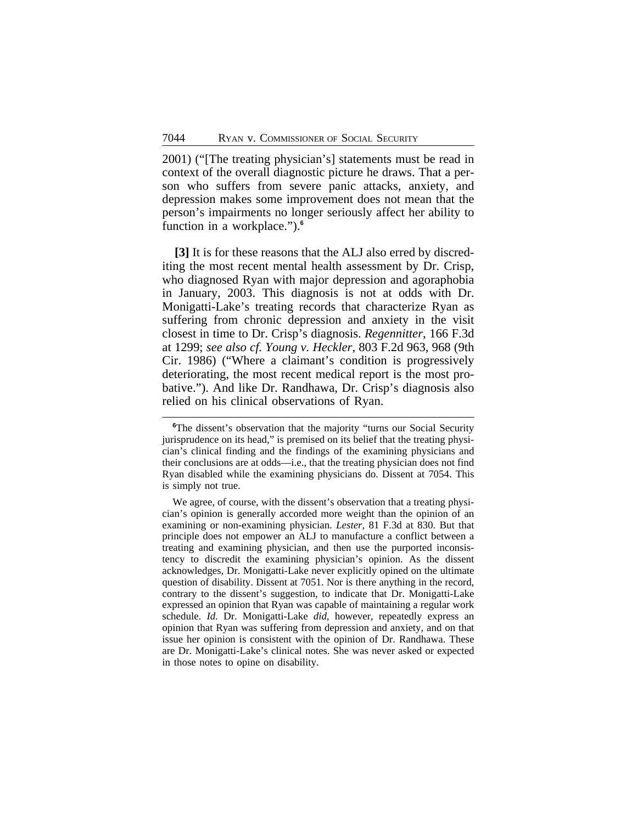2001) ("[The treating physician's] statements must be read in context of the overall diagnostic picture he draws. That a person who suffers from severe panic attacks, anxiety, and depression makes some improvement does not mean that the person's impairments no longer seriously affect her ability to function in a workplace.").**<sup>6</sup>**

**[3]** It is for these reasons that the ALJ also erred by discrediting the most recent mental health assessment by Dr. Crisp, who diagnosed Ryan with major depression and agoraphobia in January, 2003. This diagnosis is not at odds with Dr. Monigatti-Lake's treating records that characterize Ryan as suffering from chronic depression and anxiety in the visit closest in time to Dr. Crisp's diagnosis. *Regennitter*, 166 F.3d at 1299; *see also cf. Young v. Heckler*, 803 F.2d 963, 968 (9th Cir. 1986) ("Where a claimant's condition is progressively deteriorating, the most recent medical report is the most probative."). And like Dr. Randhawa, Dr. Crisp's diagnosis also relied on his clinical observations of Ryan.

**<sup>6</sup>**The dissent's observation that the majority "turns our Social Security jurisprudence on its head," is premised on its belief that the treating physician's clinical finding and the findings of the examining physicians and their conclusions are at odds—i.e., that the treating physician does not find Ryan disabled while the examining physicians do. Dissent at 7054. This is simply not true.

We agree, of course, with the dissent's observation that a treating physician's opinion is generally accorded more weight than the opinion of an examining or non-examining physician. *Lester*, 81 F.3d at 830. But that principle does not empower an ALJ to manufacture a conflict between a treating and examining physician, and then use the purported inconsistency to discredit the examining physician's opinion. As the dissent acknowledges, Dr. Monigatti-Lake never explicitly opined on the ultimate question of disability. Dissent at 7051. Nor is there anything in the record, contrary to the dissent's suggestion, to indicate that Dr. Monigatti-Lake expressed an opinion that Ryan was capable of maintaining a regular work schedule. *Id.* Dr. Monigatti-Lake *did*, however, repeatedly express an opinion that Ryan was suffering from depression and anxiety, and on that issue her opinion is consistent with the opinion of Dr. Randhawa. These are Dr. Monigatti-Lake's clinical notes. She was never asked or expected in those notes to opine on disability.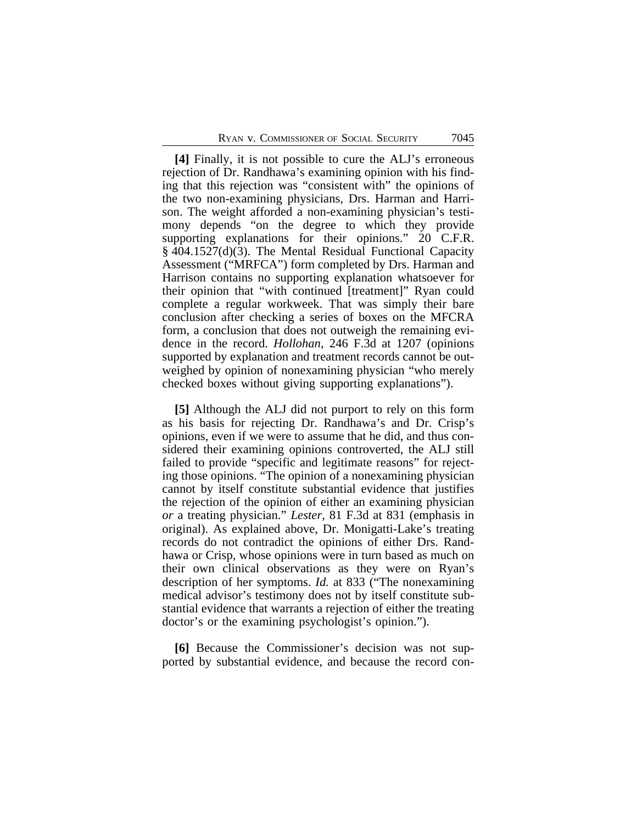**[4]** Finally, it is not possible to cure the ALJ's erroneous rejection of Dr. Randhawa's examining opinion with his finding that this rejection was "consistent with" the opinions of the two non-examining physicians, Drs. Harman and Harrison. The weight afforded a non-examining physician's testimony depends "on the degree to which they provide supporting explanations for their opinions." 20 C.F.R. § 404.1527(d)(3). The Mental Residual Functional Capacity Assessment ("MRFCA") form completed by Drs. Harman and Harrison contains no supporting explanation whatsoever for their opinion that "with continued [treatment]" Ryan could complete a regular workweek. That was simply their bare conclusion after checking a series of boxes on the MFCRA form, a conclusion that does not outweigh the remaining evidence in the record. *Hollohan*, 246 F.3d at 1207 (opinions supported by explanation and treatment records cannot be outweighed by opinion of nonexamining physician "who merely checked boxes without giving supporting explanations").

**[5]** Although the ALJ did not purport to rely on this form as his basis for rejecting Dr. Randhawa's and Dr. Crisp's opinions, even if we were to assume that he did, and thus considered their examining opinions controverted, the ALJ still failed to provide "specific and legitimate reasons" for rejecting those opinions. "The opinion of a nonexamining physician cannot by itself constitute substantial evidence that justifies the rejection of the opinion of either an examining physician *or* a treating physician." *Lester*, 81 F.3d at 831 (emphasis in original). As explained above, Dr. Monigatti-Lake's treating records do not contradict the opinions of either Drs. Randhawa or Crisp, whose opinions were in turn based as much on their own clinical observations as they were on Ryan's description of her symptoms. *Id.* at 833 ("The nonexamining medical advisor's testimony does not by itself constitute substantial evidence that warrants a rejection of either the treating doctor's or the examining psychologist's opinion.").

**[6]** Because the Commissioner's decision was not supported by substantial evidence, and because the record con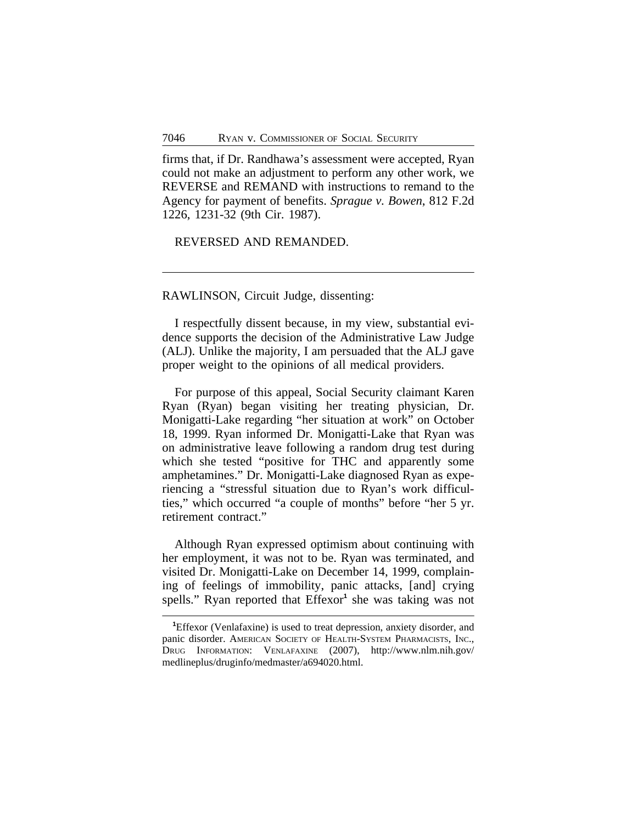firms that, if Dr. Randhawa's assessment were accepted, Ryan could not make an adjustment to perform any other work, we REVERSE and REMAND with instructions to remand to the Agency for payment of benefits. *Sprague v. Bowen*, 812 F.2d 1226, 1231-32 (9th Cir. 1987).

REVERSED AND REMANDED.

RAWLINSON, Circuit Judge, dissenting:

I respectfully dissent because, in my view, substantial evidence supports the decision of the Administrative Law Judge (ALJ). Unlike the majority, I am persuaded that the ALJ gave proper weight to the opinions of all medical providers.

For purpose of this appeal, Social Security claimant Karen Ryan (Ryan) began visiting her treating physician, Dr. Monigatti-Lake regarding "her situation at work" on October 18, 1999. Ryan informed Dr. Monigatti-Lake that Ryan was on administrative leave following a random drug test during which she tested "positive for THC and apparently some amphetamines." Dr. Monigatti-Lake diagnosed Ryan as experiencing a "stressful situation due to Ryan's work difficulties," which occurred "a couple of months" before "her 5 yr. retirement contract."

Although Ryan expressed optimism about continuing with her employment, it was not to be. Ryan was terminated, and visited Dr. Monigatti-Lake on December 14, 1999, complaining of feelings of immobility, panic attacks, [and] crying spells." Ryan reported that Effexor<sup>1</sup> she was taking was not

**<sup>1</sup>**Effexor (Venlafaxine) is used to treat depression, anxiety disorder, and panic disorder. AMERICAN SOCIETY OF HEALTH-SYSTEM PHARMACISTS, INC., DRUG INFORMATION: VENLAFAXINE (2007), http://www.nlm.nih.gov/ medlineplus/druginfo/medmaster/a694020.html.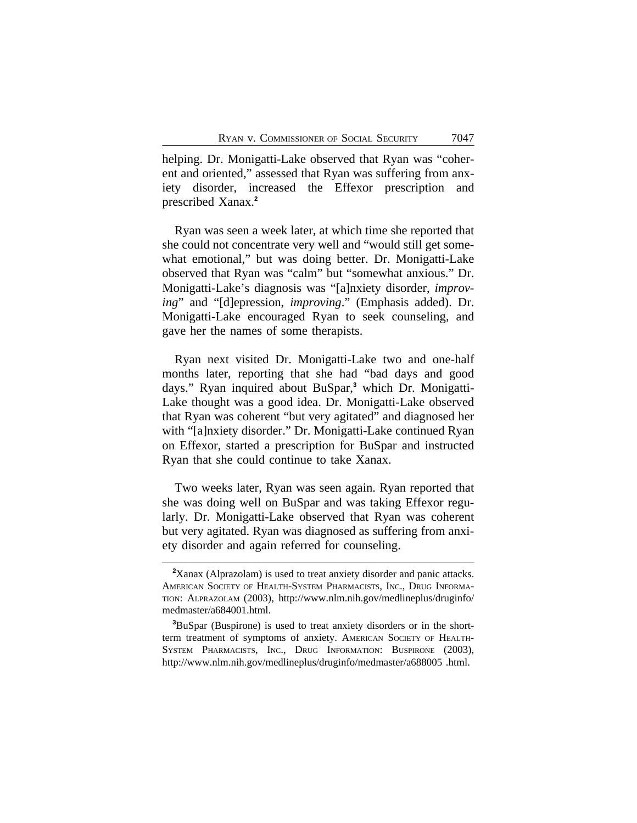helping. Dr. Monigatti-Lake observed that Ryan was "coherent and oriented," assessed that Ryan was suffering from anxiety disorder, increased the Effexor prescription and prescribed Xanax.**<sup>2</sup>**

Ryan was seen a week later, at which time she reported that she could not concentrate very well and "would still get somewhat emotional," but was doing better. Dr. Monigatti-Lake observed that Ryan was "calm" but "somewhat anxious." Dr. Monigatti-Lake's diagnosis was "[a]nxiety disorder, *improving*" and "[d]epression, *improving*." (Emphasis added). Dr. Monigatti-Lake encouraged Ryan to seek counseling, and gave her the names of some therapists.

Ryan next visited Dr. Monigatti-Lake two and one-half months later, reporting that she had "bad days and good days." Ryan inquired about BuSpar,**<sup>3</sup>** which Dr. Monigatti-Lake thought was a good idea. Dr. Monigatti-Lake observed that Ryan was coherent "but very agitated" and diagnosed her with "[a]nxiety disorder." Dr. Monigatti-Lake continued Ryan on Effexor, started a prescription for BuSpar and instructed Ryan that she could continue to take Xanax.

Two weeks later, Ryan was seen again. Ryan reported that she was doing well on BuSpar and was taking Effexor regularly. Dr. Monigatti-Lake observed that Ryan was coherent but very agitated. Ryan was diagnosed as suffering from anxiety disorder and again referred for counseling.

**<sup>2</sup>**Xanax (Alprazolam) is used to treat anxiety disorder and panic attacks. AMERICAN SOCIETY OF HEALTH-SYSTEM PHARMACISTS, INC., DRUG INFORMA-TION: ALPRAZOLAM (2003), http://www.nlm.nih.gov/medlineplus/druginfo/ medmaster/a684001.html.

**<sup>3</sup>**BuSpar (Buspirone) is used to treat anxiety disorders or in the shortterm treatment of symptoms of anxiety. AMERICAN SOCIETY OF HEALTH-SYSTEM PHARMACISTS, INC., DRUG INFORMATION: BUSPIRONE (2003), http://www.nlm.nih.gov/medlineplus/druginfo/medmaster/a688005 .html.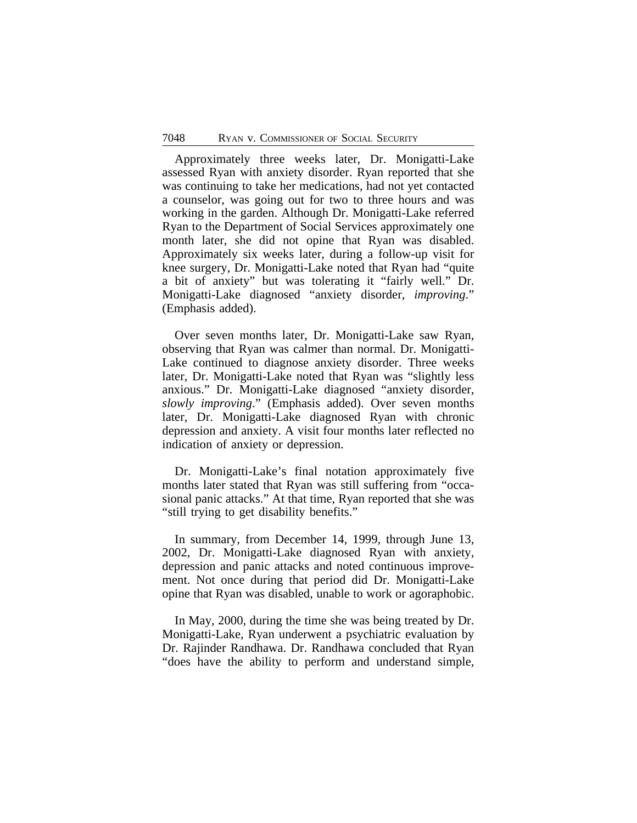Approximately three weeks later, Dr. Monigatti-Lake assessed Ryan with anxiety disorder. Ryan reported that she was continuing to take her medications, had not yet contacted a counselor, was going out for two to three hours and was working in the garden. Although Dr. Monigatti-Lake referred Ryan to the Department of Social Services approximately one month later, she did not opine that Ryan was disabled. Approximately six weeks later, during a follow-up visit for knee surgery, Dr. Monigatti-Lake noted that Ryan had "quite a bit of anxiety" but was tolerating it "fairly well." Dr. Monigatti-Lake diagnosed "anxiety disorder, *improving*." (Emphasis added).

Over seven months later, Dr. Monigatti-Lake saw Ryan, observing that Ryan was calmer than normal. Dr. Monigatti-Lake continued to diagnose anxiety disorder. Three weeks later, Dr. Monigatti-Lake noted that Ryan was "slightly less anxious." Dr. Monigatti-Lake diagnosed "anxiety disorder, *slowly improving*." (Emphasis added). Over seven months later, Dr. Monigatti-Lake diagnosed Ryan with chronic depression and anxiety. A visit four months later reflected no indication of anxiety or depression.

Dr. Monigatti-Lake's final notation approximately five months later stated that Ryan was still suffering from "occasional panic attacks." At that time, Ryan reported that she was "still trying to get disability benefits."

In summary, from December 14, 1999, through June 13, 2002, Dr. Monigatti-Lake diagnosed Ryan with anxiety, depression and panic attacks and noted continuous improvement. Not once during that period did Dr. Monigatti-Lake opine that Ryan was disabled, unable to work or agoraphobic.

In May, 2000, during the time she was being treated by Dr. Monigatti-Lake, Ryan underwent a psychiatric evaluation by Dr. Rajinder Randhawa. Dr. Randhawa concluded that Ryan "does have the ability to perform and understand simple,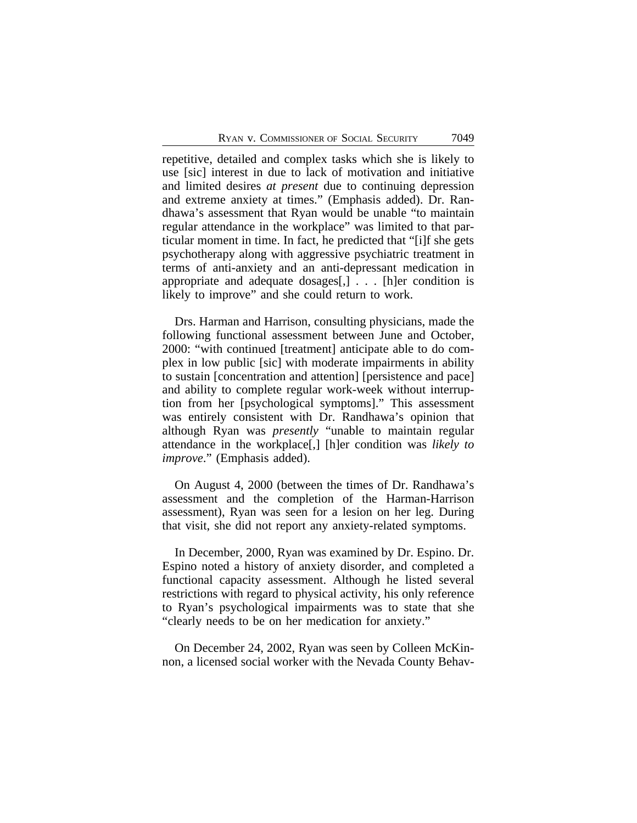repetitive, detailed and complex tasks which she is likely to use [sic] interest in due to lack of motivation and initiative and limited desires *at present* due to continuing depression and extreme anxiety at times." (Emphasis added). Dr. Randhawa's assessment that Ryan would be unable "to maintain regular attendance in the workplace" was limited to that particular moment in time. In fact, he predicted that "[i]f she gets psychotherapy along with aggressive psychiatric treatment in terms of anti-anxiety and an anti-depressant medication in appropriate and adequate dosages[,] . . . [h]er condition is likely to improve" and she could return to work.

Drs. Harman and Harrison, consulting physicians, made the following functional assessment between June and October, 2000: "with continued [treatment] anticipate able to do complex in low public [sic] with moderate impairments in ability to sustain [concentration and attention] [persistence and pace] and ability to complete regular work-week without interruption from her [psychological symptoms]." This assessment was entirely consistent with Dr. Randhawa's opinion that although Ryan was *presently* "unable to maintain regular attendance in the workplace[,] [h]er condition was *likely to improve*." (Emphasis added).

On August 4, 2000 (between the times of Dr. Randhawa's assessment and the completion of the Harman-Harrison assessment), Ryan was seen for a lesion on her leg. During that visit, she did not report any anxiety-related symptoms.

In December, 2000, Ryan was examined by Dr. Espino. Dr. Espino noted a history of anxiety disorder, and completed a functional capacity assessment. Although he listed several restrictions with regard to physical activity, his only reference to Ryan's psychological impairments was to state that she "clearly needs to be on her medication for anxiety."

On December 24, 2002, Ryan was seen by Colleen McKinnon, a licensed social worker with the Nevada County Behav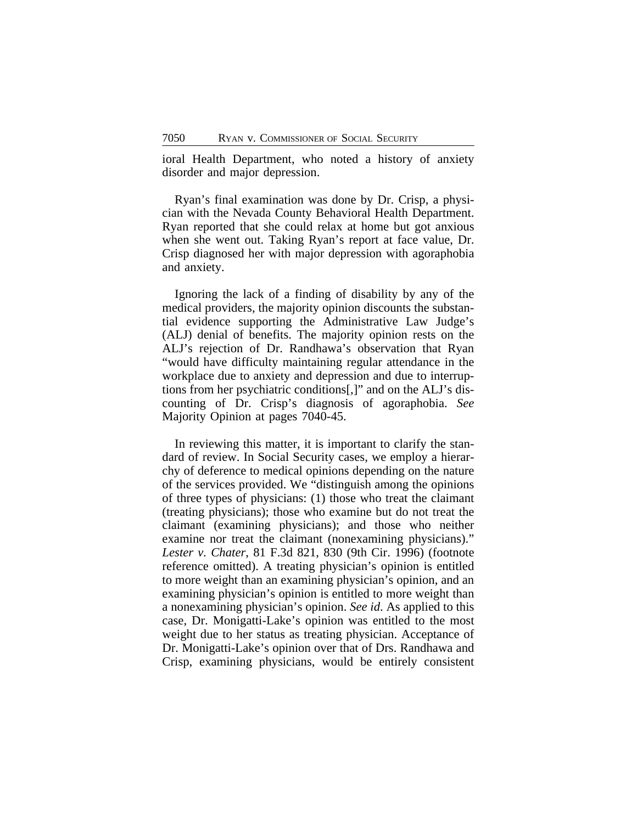ioral Health Department, who noted a history of anxiety disorder and major depression.

Ryan's final examination was done by Dr. Crisp, a physician with the Nevada County Behavioral Health Department. Ryan reported that she could relax at home but got anxious when she went out. Taking Ryan's report at face value, Dr. Crisp diagnosed her with major depression with agoraphobia and anxiety.

Ignoring the lack of a finding of disability by any of the medical providers, the majority opinion discounts the substantial evidence supporting the Administrative Law Judge's (ALJ) denial of benefits. The majority opinion rests on the ALJ's rejection of Dr. Randhawa's observation that Ryan "would have difficulty maintaining regular attendance in the workplace due to anxiety and depression and due to interruptions from her psychiatric conditions[,]" and on the ALJ's discounting of Dr. Crisp's diagnosis of agoraphobia. *See* Majority Opinion at pages 7040-45.

In reviewing this matter, it is important to clarify the standard of review. In Social Security cases, we employ a hierarchy of deference to medical opinions depending on the nature of the services provided. We "distinguish among the opinions of three types of physicians: (1) those who treat the claimant (treating physicians); those who examine but do not treat the claimant (examining physicians); and those who neither examine nor treat the claimant (nonexamining physicians)." *Lester v. Chater*, 81 F.3d 821, 830 (9th Cir. 1996) (footnote reference omitted). A treating physician's opinion is entitled to more weight than an examining physician's opinion, and an examining physician's opinion is entitled to more weight than a nonexamining physician's opinion. *See id*. As applied to this case, Dr. Monigatti-Lake's opinion was entitled to the most weight due to her status as treating physician. Acceptance of Dr. Monigatti-Lake's opinion over that of Drs. Randhawa and Crisp, examining physicians, would be entirely consistent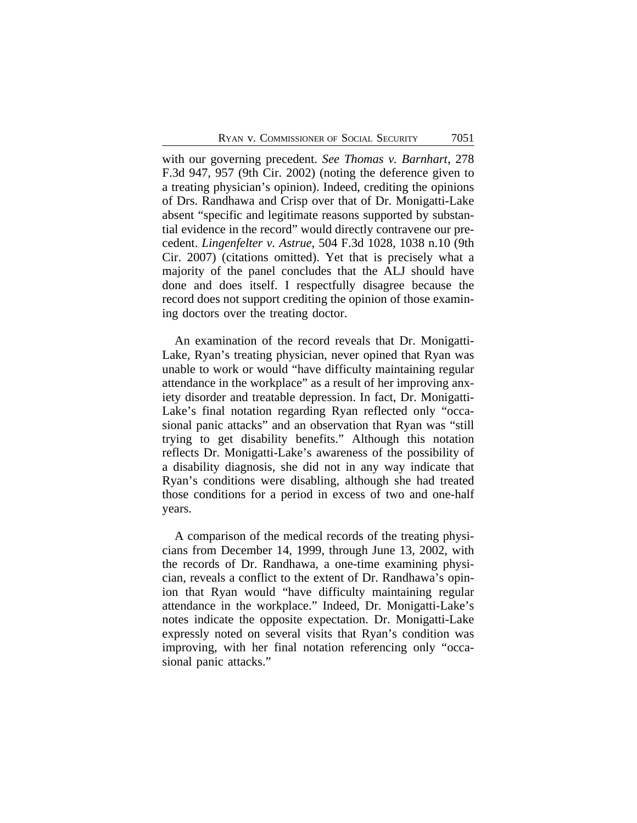with our governing precedent. *See Thomas v. Barnhart*, 278 F.3d 947, 957 (9th Cir. 2002) (noting the deference given to a treating physician's opinion). Indeed, crediting the opinions of Drs. Randhawa and Crisp over that of Dr. Monigatti-Lake absent "specific and legitimate reasons supported by substantial evidence in the record" would directly contravene our precedent. *Lingenfelter v. Astrue*, 504 F.3d 1028, 1038 n.10 (9th Cir. 2007) (citations omitted). Yet that is precisely what a majority of the panel concludes that the ALJ should have done and does itself. I respectfully disagree because the record does not support crediting the opinion of those examining doctors over the treating doctor.

An examination of the record reveals that Dr. Monigatti-Lake, Ryan's treating physician, never opined that Ryan was unable to work or would "have difficulty maintaining regular attendance in the workplace" as a result of her improving anxiety disorder and treatable depression. In fact, Dr. Monigatti-Lake's final notation regarding Ryan reflected only "occasional panic attacks" and an observation that Ryan was "still trying to get disability benefits." Although this notation reflects Dr. Monigatti-Lake's awareness of the possibility of a disability diagnosis, she did not in any way indicate that Ryan's conditions were disabling, although she had treated those conditions for a period in excess of two and one-half years.

A comparison of the medical records of the treating physicians from December 14, 1999, through June 13, 2002, with the records of Dr. Randhawa, a one-time examining physician, reveals a conflict to the extent of Dr. Randhawa's opinion that Ryan would "have difficulty maintaining regular attendance in the workplace." Indeed, Dr. Monigatti-Lake's notes indicate the opposite expectation. Dr. Monigatti-Lake expressly noted on several visits that Ryan's condition was improving, with her final notation referencing only "occasional panic attacks."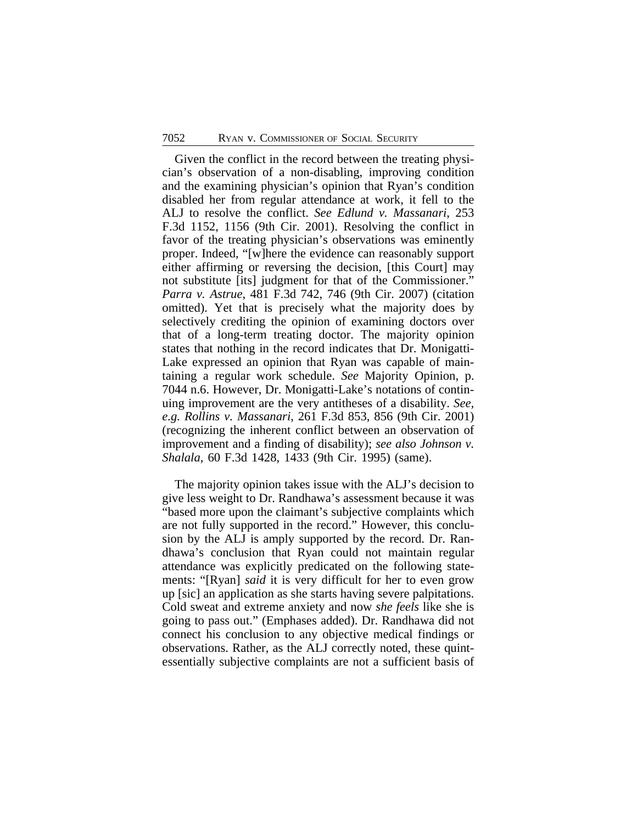Given the conflict in the record between the treating physician's observation of a non-disabling, improving condition and the examining physician's opinion that Ryan's condition disabled her from regular attendance at work, it fell to the ALJ to resolve the conflict. *See Edlund v. Massanari*, 253 F.3d 1152, 1156 (9th Cir. 2001). Resolving the conflict in favor of the treating physician's observations was eminently proper. Indeed, "[w]here the evidence can reasonably support either affirming or reversing the decision, [this Court] may not substitute [its] judgment for that of the Commissioner." *Parra v. Astrue*, 481 F.3d 742, 746 (9th Cir. 2007) (citation omitted). Yet that is precisely what the majority does by selectively crediting the opinion of examining doctors over that of a long-term treating doctor. The majority opinion states that nothing in the record indicates that Dr. Monigatti-Lake expressed an opinion that Ryan was capable of maintaining a regular work schedule. *See* Majority Opinion, p. 7044 n.6. However, Dr. Monigatti-Lake's notations of continuing improvement are the very antitheses of a disability. *See, e.g. Rollins v. Massanari*, 261 F.3d 853, 856 (9th Cir. 2001) (recognizing the inherent conflict between an observation of improvement and a finding of disability); *see also Johnson v. Shalala*, 60 F.3d 1428, 1433 (9th Cir. 1995) (same).

The majority opinion takes issue with the ALJ's decision to give less weight to Dr. Randhawa's assessment because it was "based more upon the claimant's subjective complaints which are not fully supported in the record." However, this conclusion by the ALJ is amply supported by the record. Dr. Randhawa's conclusion that Ryan could not maintain regular attendance was explicitly predicated on the following statements: "[Ryan] *said* it is very difficult for her to even grow up [sic] an application as she starts having severe palpitations. Cold sweat and extreme anxiety and now *she feels* like she is going to pass out." (Emphases added). Dr. Randhawa did not connect his conclusion to any objective medical findings or observations. Rather, as the ALJ correctly noted, these quintessentially subjective complaints are not a sufficient basis of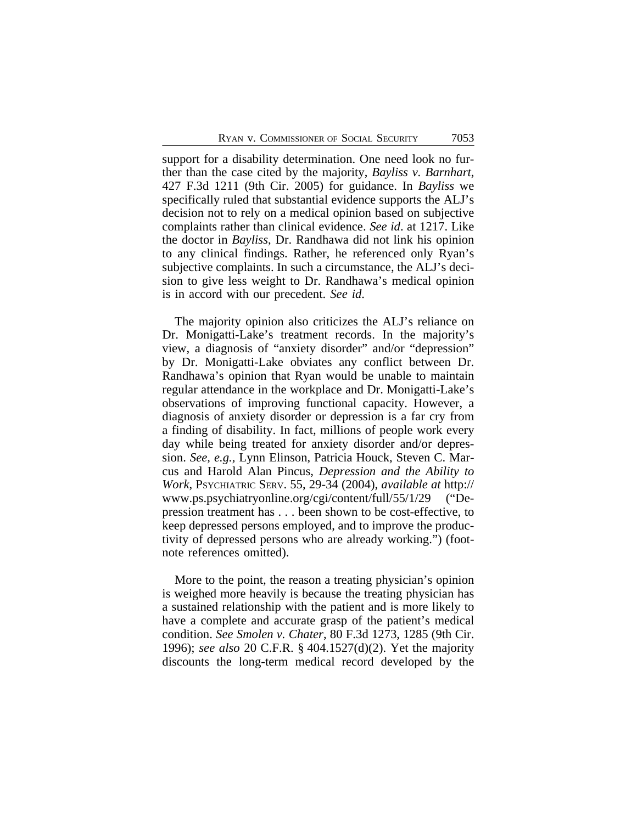support for a disability determination. One need look no further than the case cited by the majority, *Bayliss v. Barnhart*, 427 F.3d 1211 (9th Cir. 2005) for guidance. In *Bayliss* we specifically ruled that substantial evidence supports the ALJ's decision not to rely on a medical opinion based on subjective complaints rather than clinical evidence. *See id*. at 1217. Like the doctor in *Bayliss*, Dr. Randhawa did not link his opinion to any clinical findings. Rather, he referenced only Ryan's subjective complaints. In such a circumstance, the ALJ's decision to give less weight to Dr. Randhawa's medical opinion is in accord with our precedent. *See id*.

The majority opinion also criticizes the ALJ's reliance on Dr. Monigatti-Lake's treatment records. In the majority's view, a diagnosis of "anxiety disorder" and/or "depression" by Dr. Monigatti-Lake obviates any conflict between Dr. Randhawa's opinion that Ryan would be unable to maintain regular attendance in the workplace and Dr. Monigatti-Lake's observations of improving functional capacity. However, a diagnosis of anxiety disorder or depression is a far cry from a finding of disability. In fact, millions of people work every day while being treated for anxiety disorder and/or depression. *See, e.g.,* Lynn Elinson, Patricia Houck, Steven C. Marcus and Harold Alan Pincus, *Depression and the Ability to Work*, PSYCHIATRIC SERV. 55, 29-34 (2004), *available at* http:// www.ps.psychiatryonline.org/cgi/content/full/55/1/29 ("Depression treatment has . . . been shown to be cost-effective, to keep depressed persons employed, and to improve the productivity of depressed persons who are already working.") (footnote references omitted).

More to the point, the reason a treating physician's opinion is weighed more heavily is because the treating physician has a sustained relationship with the patient and is more likely to have a complete and accurate grasp of the patient's medical condition. *See Smolen v. Chater*, 80 F.3d 1273, 1285 (9th Cir. 1996); *see also* 20 C.F.R. § 404.1527(d)(2). Yet the majority discounts the long-term medical record developed by the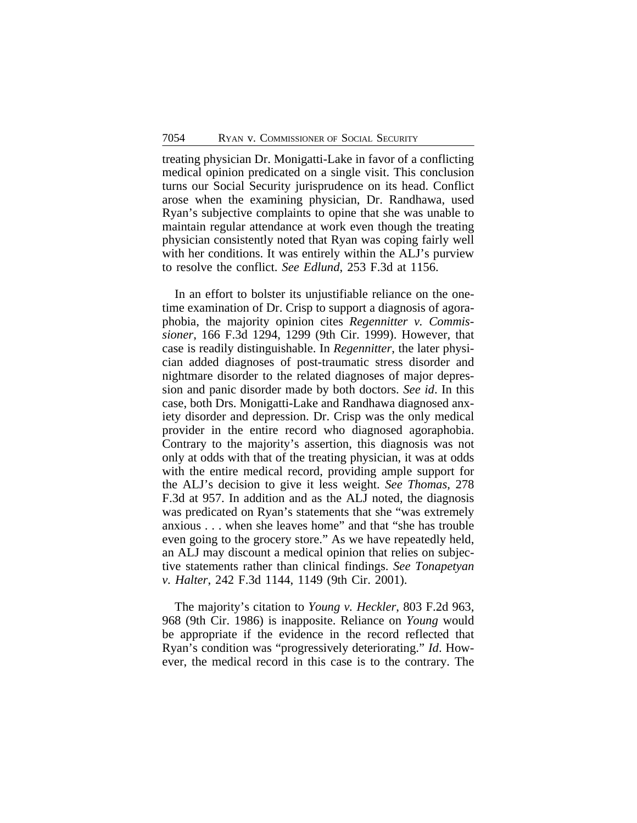treating physician Dr. Monigatti-Lake in favor of a conflicting medical opinion predicated on a single visit. This conclusion turns our Social Security jurisprudence on its head. Conflict arose when the examining physician, Dr. Randhawa, used Ryan's subjective complaints to opine that she was unable to maintain regular attendance at work even though the treating physician consistently noted that Ryan was coping fairly well with her conditions. It was entirely within the ALJ's purview to resolve the conflict. *See Edlund*, 253 F.3d at 1156.

In an effort to bolster its unjustifiable reliance on the onetime examination of Dr. Crisp to support a diagnosis of agoraphobia, the majority opinion cites *Regennitter v. Commissioner*, 166 F.3d 1294, 1299 (9th Cir. 1999). However, that case is readily distinguishable. In *Regennitter*, the later physician added diagnoses of post-traumatic stress disorder and nightmare disorder to the related diagnoses of major depression and panic disorder made by both doctors. *See id*. In this case, both Drs. Monigatti-Lake and Randhawa diagnosed anxiety disorder and depression. Dr. Crisp was the only medical provider in the entire record who diagnosed agoraphobia. Contrary to the majority's assertion, this diagnosis was not only at odds with that of the treating physician, it was at odds with the entire medical record, providing ample support for the ALJ's decision to give it less weight. *See Thomas*, 278 F.3d at 957. In addition and as the ALJ noted, the diagnosis was predicated on Ryan's statements that she "was extremely anxious . . . when she leaves home" and that "she has trouble even going to the grocery store." As we have repeatedly held, an ALJ may discount a medical opinion that relies on subjective statements rather than clinical findings. *See Tonapetyan v. Halter*, 242 F.3d 1144, 1149 (9th Cir. 2001).

The majority's citation to *Young v. Heckler*, 803 F.2d 963, 968 (9th Cir. 1986) is inapposite. Reliance on *Young* would be appropriate if the evidence in the record reflected that Ryan's condition was "progressively deteriorating." *Id*. However, the medical record in this case is to the contrary. The